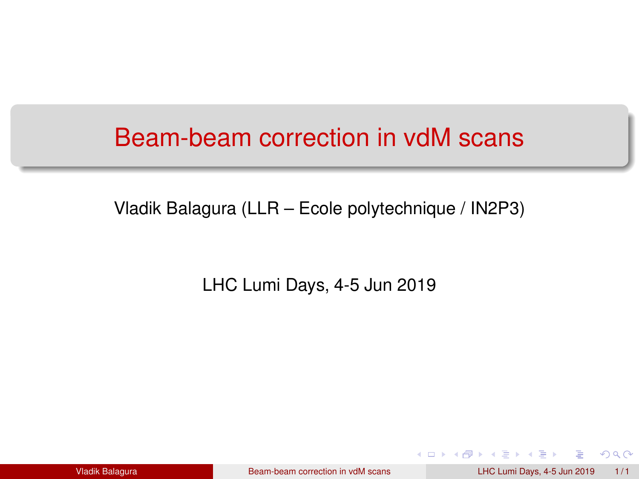### <span id="page-0-0"></span>Beam-beam correction in vdM scans

Vladik Balagura (LLR – Ecole polytechnique / IN2P3)

LHC Lumi Days, 4-5 Jun 2019

Vladik Balagura [Beam-beam correction in vdM scans](#page-0-0) LHC Lumi Days, 4-5 Jun 2019 1/1

 $2Q$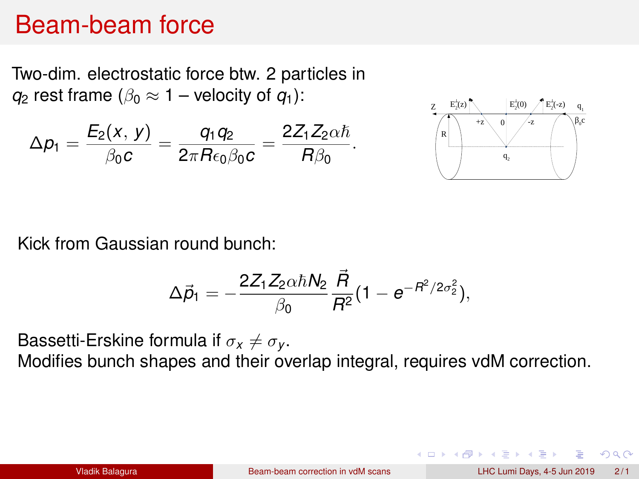### Beam-beam force

Two-dim. electrostatic force btw. 2 particles in *q*<sub>2</sub> rest frame ( $\beta_0 \approx 1$  – velocity of  $q_1$ ):

$$
\Delta p_1=\frac{E_2(x,\,y)}{\beta_0c}=\frac{q_1q_2}{2\pi\mathit{Re}_0\beta_0c}=\frac{2Z_1Z_2\alpha\hbar}{\mathit{R}\beta_0}.
$$



Kick from Gaussian round bunch:

$$
\Delta \vec{p}_1 = -\frac{2Z_1Z_2\alpha\hbar N_2}{\beta_0} \frac{\vec{R}}{R^2} (1 - e^{-R^2/2\sigma_2^2}),
$$

Bassetti-Erskine formula if  $\sigma_x \neq \sigma_y$ .

Modifies bunch shapes and their overlap integral, requires vdM correction.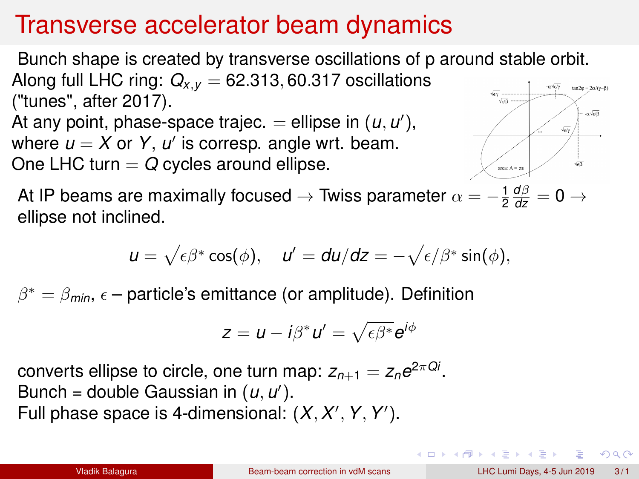# Transverse accelerator beam dynamics

Bunch shape is created by transverse oscillations of p around stable orbit. Along full LHC ring:  $Q_{x,y} = 62.313, 60.317$  oscillations ("tunes", after 2017). At any point, phase-space trajec.  $=$  ellipse in  $(u, u')$ , where  $u = X$  or Y,  $u'$  is corresp. angle wrt. beam. One LHC turn  $= Q$  cycles around ellipse.

At IP beams are maximally focused  $\rightarrow$  Twiss parameter  $\alpha = -\frac{1}{2}\frac{d\beta}{dz} = 0 \rightarrow 0$ ellipse not inclined.

$$
u=\sqrt{\epsilon\beta^*}\cos(\phi),\quad u'=du/dz=-\sqrt{\epsilon/\beta^*}\sin(\phi),
$$

 $\beta^* = \beta_{\text{min}}$ ,  $\epsilon$  – particle's emittance (or amplitude). Definition

$$
z = u - i\beta^* u' = \sqrt{\epsilon \beta^*} e^{i\phi}
$$

 $\mathsf{converts}$  ellipse to circle, one turn map:  $\mathsf{z}_{n+1} = \mathsf{z}_n e^{2\pi \mathsf{Q} i}.$ Bunch = double Gaussian in  $(u, u')$ . Full phase space is 4-dimensional:  $(X, X', Y, Y')$ .

つひひ

aveB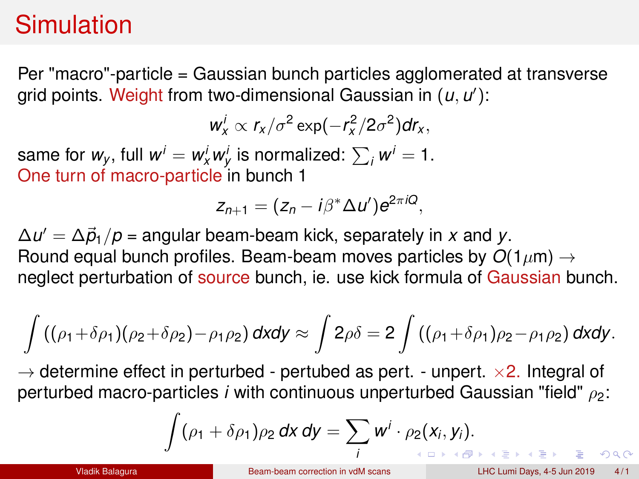# Simulation

Per "macro"-particle = Gaussian bunch particles agglomerated at transverse grid points. Weight from two-dimensional Gaussian in (*u*, *u* 0 ):

 $w_x^i \propto r_x/\sigma^2 \exp(-r_x^2/2\sigma^2)dr_x$ ,

same for  $w_y$ , full  $w^i = w^i_x w^i_y$  is normalized:  $\sum_i w^i = 1$ . One turn of macro-particle in bunch 1

$$
z_{n+1}=(z_n-i\beta^*\Delta u')e^{2\pi iQ},
$$

 $\Delta u' = \Delta \vec{\rho}_1 / \rho$  = angular beam-beam kick, separately in *x* and *y*. Round equal bunch profiles. Beam-beam moves particles by  $O(1 \mu m) \rightarrow$ neglect perturbation of source bunch, ie. use kick formula of Gaussian bunch.

$$
\int ((\rho_1+\delta\rho_1)(\rho_2+\delta\rho_2)-\rho_1\rho_2)\,dxdy\approx \int 2\rho\delta=2\int ((\rho_1+\delta\rho_1)\rho_2-\rho_1\rho_2)\,dxdy.
$$

 $\rightarrow$  determine effect in perturbed - pertubed as pert. - unpert.  $\times$ 2. Integral of perturbed macro-particles *i* with continuous unperturbed Gaussian "field"  $\rho_2$ :

$$
\int (\rho_1 + \delta \rho_1) \rho_2 \, dx \, dy = \sum_i w^i \cdot \rho_2(x_i, y_i).
$$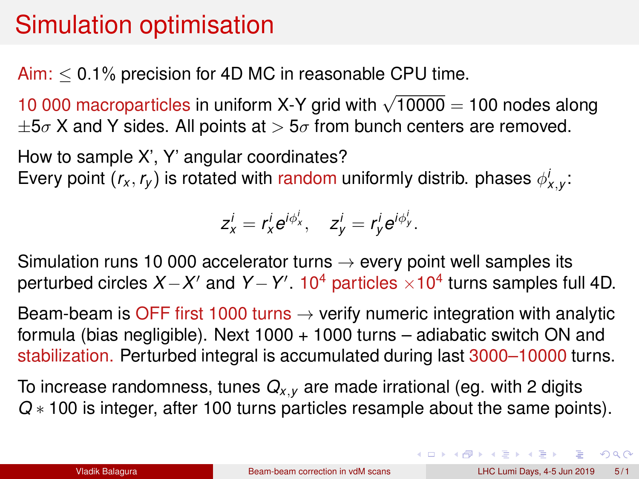# Simulation optimisation

Aim:  $\leq$  0.1% precision for 4D MC in reasonable CPU time.

10 000 macroparticles in uniform X-Y grid with  $\sqrt{10000} = 100$  nodes along  $\pm 5\sigma$  X and Y sides. All points at  $> 5\sigma$  from bunch centers are removed.

How to sample X', Y' angular coordinates? Every point  $(r_x, r_y)$  is rotated with random uniformly distrib. phases  $\phi_{x,y}^i$ :

$$
z_x^i = r_x^i e^{i\phi_x^i}, \quad z_y^i = r_y^i e^{i\phi_y^i}.
$$

Simulation runs 10 000 accelerator turns  $\rightarrow$  every point well samples its perturbed circles *X* − *X'* and *Y* − *Y'*. 10<sup>4</sup> particles × 10<sup>4</sup> turns samples full 4D.

Beam-beam is OFF first 1000 turns  $\rightarrow$  verify numeric integration with analytic formula (bias negligible). Next  $1000 + 1000$  turns – adiabatic switch ON and stabilization. Perturbed integral is accumulated during last 3000–10000 turns.

To increase randomness, tunes *Qx*,*<sup>y</sup>* are made irrational (eg. with 2 digits *Q* ∗ 100 is integer, after 100 turns particles resample about the same points).

 $QQ$ 

 $\mathbf{A} \cap \mathbf{B} \rightarrow \mathbf{A} \oplus \mathbf{B} \rightarrow \mathbf{A} \oplus \mathbf{B} \rightarrow \mathbf{B} \oplus \mathbf{B} \oplus \mathbf{B} \oplus \mathbf{B} \oplus \mathbf{B} \oplus \mathbf{B} \oplus \mathbf{B} \oplus \mathbf{B} \oplus \mathbf{B} \oplus \mathbf{B} \oplus \mathbf{B} \oplus \mathbf{B} \oplus \mathbf{B} \oplus \mathbf{B} \oplus \mathbf{B} \oplus \mathbf{B} \oplus \mathbf{B} \oplus \mathbf{B} \oplus \mathbf{B} \opl$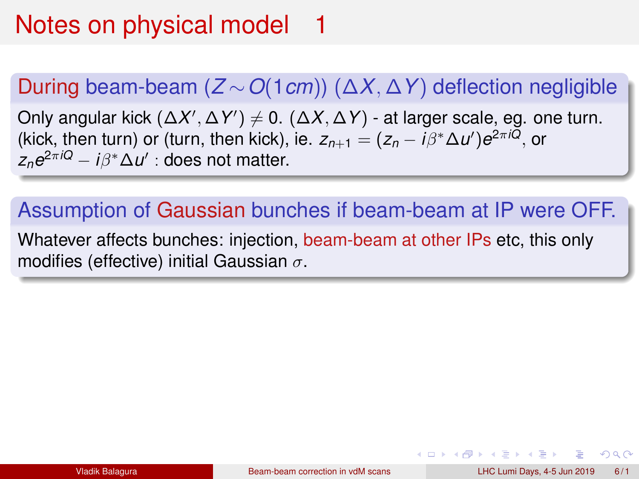# Notes on physical model 1

### During beam-beam (*Z* ∼*O*(1*cm*)) (∆*X*, ∆*Y*) deflection negligible

Only angular kick (Δ*X'*, Δ*Y'*)  $\neq$  0. (Δ*X*, Δ*Y*) - at larger scale, eg. one turn. (kick, then turn) or (turn, then kick), ie.  $z_{n+1} = (z_n - i\beta^* \Delta u')e^{2\pi iQ}$ , or  $z_n e^{2\pi i Q} - i\beta^* \Delta u'$  : does not matter.

# Assumption of Gaussian bunches if beam-beam at IP were OFF.

Whatever affects bunches: injection, beam-beam at other IPs etc, this only modifies (effective) initial Gaussian  $\sigma$ .

 $\Omega$ 

イロト イ母 トイラ トイラトー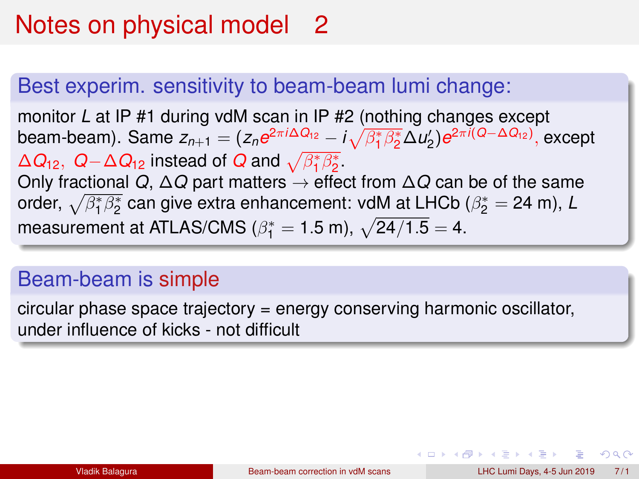# Notes on physical model 2

#### Best experim. sensitivity to beam-beam lumi change:

monitor *L* at IP #1 during vdM scan in IP #2 (nothing changes except beam-beam). Same  $z_{n+1} = (z_n e^{2\pi i \Delta Q_{12}} - i \sqrt{\beta_1^* \beta_2^*} \Delta u_2') e^{2\pi i (Q - \Delta Q_{12})}$ , except  $\Delta Q_{12}$ ,  $Q - \Delta Q_{12}$  instead of  $Q$  and  $\sqrt{\beta_1^* \beta_2^*}$ . Only fractional *Q*, ∆*Q* part matters → effect from ∆*Q* can be of the same order,  $\sqrt{\beta^*_1\beta^*_2}$  can give extra enhancement: vdM at LHCb ( $\beta^*_2=$  24 m), *L* measurement at ATLAS/CMS ( $\beta_1^* = 1.5$  m),  $\sqrt{24/1.5} = 4$ .

#### Beam-beam is simple

circular phase space trajectory = energy conserving harmonic oscillator, under influence of kicks - not difficult

K ロ ▶ K @ ▶ K ミ ▶ K ミ ▶ - ' 큰' - K) Q Q @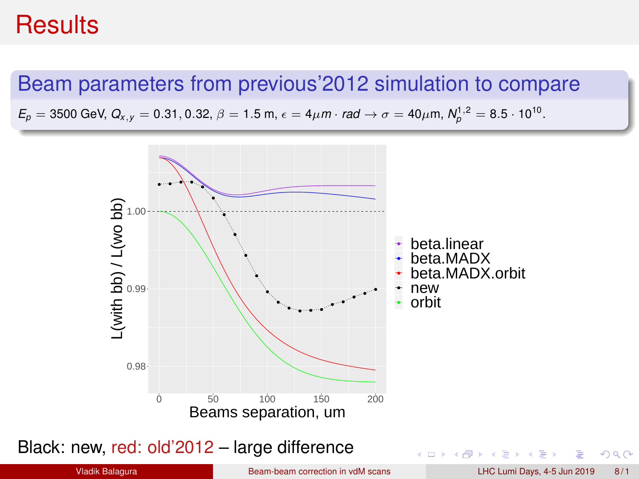### **Results**

#### Beam parameters from previous'2012 simulation to compare

 $E_p = 3500$  GeV,  $Q_{x,y} = 0.31, 0.32, \beta = 1.5$  m,  $\epsilon = 4 \mu$ m · *rad*  $\rightarrow \sigma = 40 \mu$ m,  $N_p^{1,2} = 8.5 \cdot 10^{10}$ .



Black: new, red: old'2012 – large difference

 $2Q$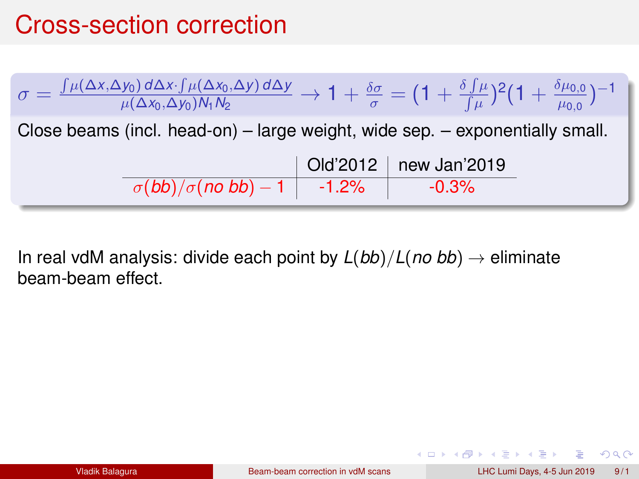# Cross-section correction



In real vdM analysis: divide each point by  $L(bb)/L(no bb) \rightarrow$  eliminate beam-beam effect.

 $QQ$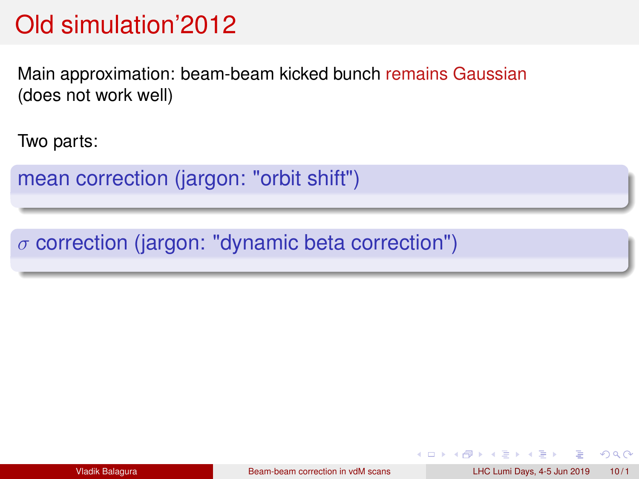# Old simulation'2012

Main approximation: beam-beam kicked bunch remains Gaussian (does not work well)

Two parts:

mean correction (jargon: "orbit shift")

 $\sigma$  correction (jargon: "dynamic beta correction")

 $QQ$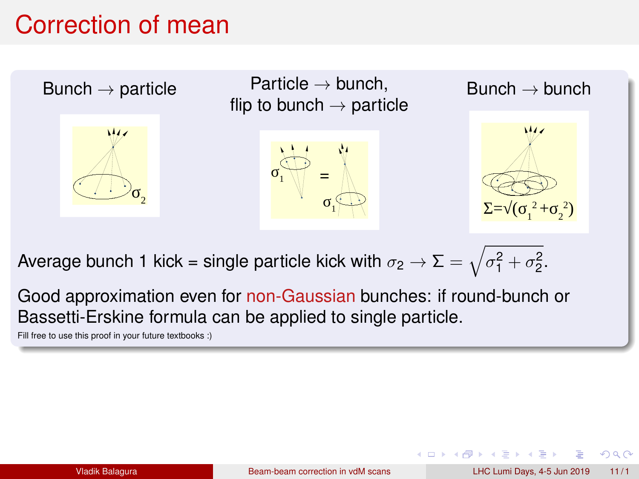## Correction of mean



Average bunch 1 kick = single particle kick with  $\sigma_2 \to \Sigma = \sqrt{\sigma_1^2 + \sigma_2^2}.$ 

Good approximation even for non-Gaussian bunches: if round-bunch or Bassetti-Erskine formula can be applied to single particle.

Fill free to use this proof in your future textbooks :)

 $\Omega$ 

(□ ) ( ) →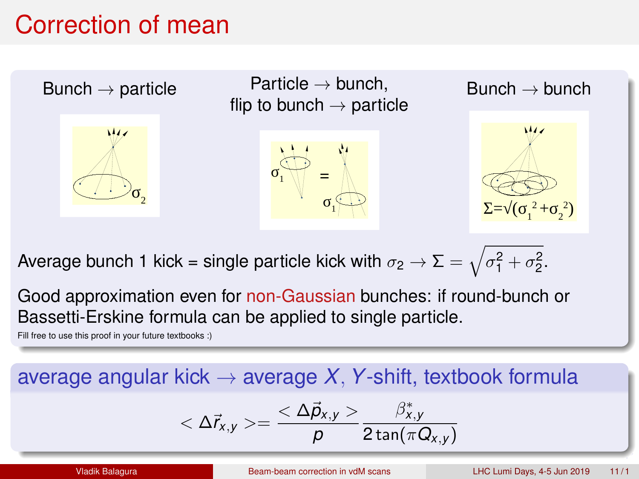# Correction of mean



Average bunch 1 kick = single particle kick with  $\sigma_2 \to \Sigma = \sqrt{\sigma_1^2 + \sigma_2^2}.$ 

Good approximation even for non-Gaussian bunches: if round-bunch or Bassetti-Erskine formula can be applied to single particle.

Fill free to use this proof in your future textbooks :)

### average angular kick  $\rightarrow$  average *X*, *Y*-shift, textbook formula

$$
<\Delta \vec{r}_{x,y}>=\frac{<\Delta \vec{p}_{x,y}>}{\rho}\frac{\beta^{*}_{x,y}}{2\tan(\pi Q_{x,y})}
$$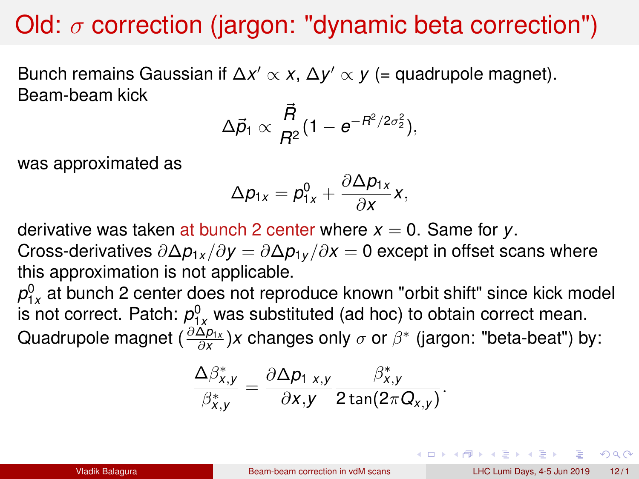# Old:  $\sigma$  correction (jargon: "dynamic beta correction")

Bunch remains Gaussian if Δ*x'*  $\propto$  *x*, Δ*y'*  $\propto$  *y* (= quadrupole magnet). Beam-beam kick

$$
\Delta \vec{p}_1 \propto \frac{\vec{R}}{R^2} (1 - e^{-R^2/2\sigma_2^2}),
$$

was approximated as

$$
\Delta p_{1x}=p_{1x}^0+\frac{\partial\Delta p_{1x}}{\partial x}x,
$$

derivative was taken at bunch 2 center where  $x = 0$ . Same for  $y$ .

Cross-derivatives ∂∆*p*1*<sup>x</sup>* /∂*y* = ∂∆*p*1*<sup>y</sup>* /∂*x* = 0 except in offset scans where this approximation is not applicable.

 $p_{1x}^0$  at bunch 2 center does not reproduce known "orbit shift" since kick model is not correct. Patch:  $p_{1x}^0$  was substituted (ad hoc) to obtain correct mean. Quadrupole magnet ( ∂∆*p*1*<sup>x</sup>* ∂*x* )*x* changes only σ or β ∗ (jargon: "beta-beat") by:

$$
\frac{\Delta\beta_{x,y}^*}{\beta_{x,y}^*}=\frac{\partial\Delta p_{1\ x,y}}{\partial x,y}\frac{\beta_{x,y}^*}{2\tan(2\pi Q_{x,y})}.
$$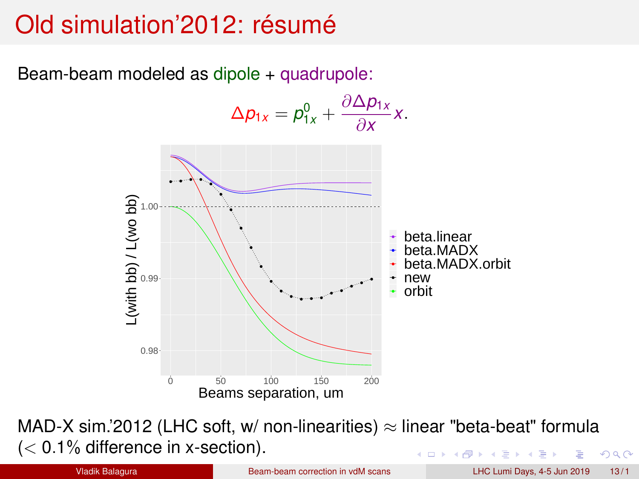# Old simulation'2012: résumé

Beam-beam modeled as dipole + quadrupole:



MAD-X sim.'2012 (LHC soft, w/ non-linearities)  $\approx$  linear "beta-beat" formula  $(< 0.1\%$  difference in x-section).  $\Omega$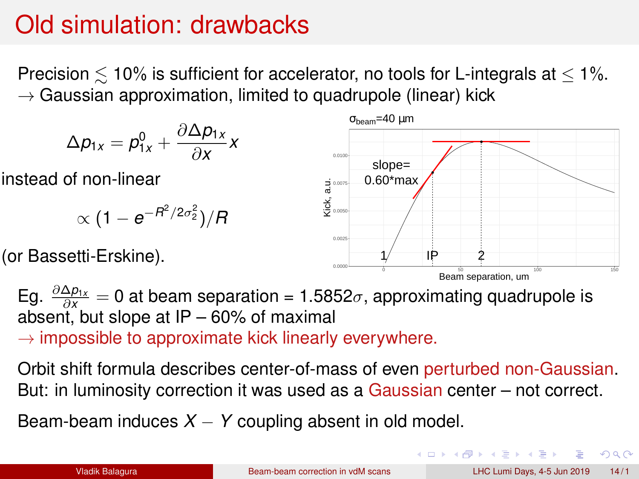# Old simulation: drawbacks

Precision  $\lesssim$  10% is sufficient for accelerator, no tools for L-integrals at  $\leq$  1%.  $\rightarrow$  Gaussian approximation, limited to quadrupole (linear) kick

$$
\Delta p_{1x} = p_{1x}^0 + \frac{\partial \Delta p_{1x}}{\partial x} x
$$

instead of non-linear

$$
\propto (1-e^{-R^2/2\sigma_2^2})/R
$$

(or Bassetti-Erskine).



Eg.  $\frac{\partial \Delta p_{1x}}{\partial x} = 0$  at beam separation = 1.5852 $\sigma$ , approximating quadrupole is absent, but slope at  $IP - 60\%$  of maximal  $\rightarrow$  impossible to approximate kick linearly everywhere.

Orbit shift formula describes center-of-mass of even perturbed non-Gaussian. But: in luminosity correction it was used as a Gaussian center – not correct.

Beam-beam induces  $X - Y$  coupling absent in old model.

目

 $QQQ$ 

 $\Box$   $\rightarrow$   $\land$   $\Box$   $\rightarrow$   $\land$   $\Box$   $\rightarrow$   $\land$   $\Box$   $\rightarrow$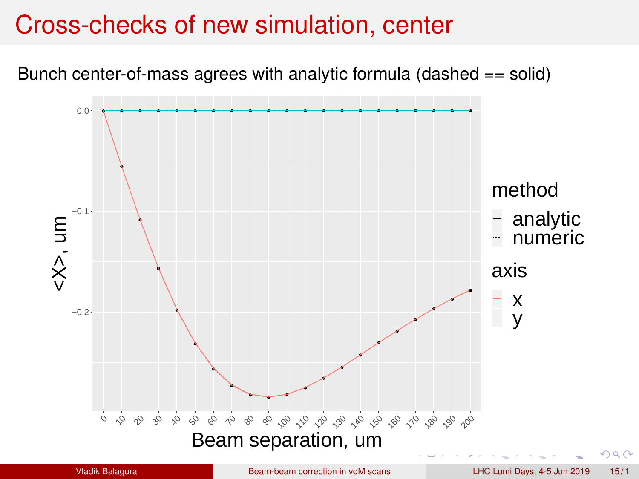### Cross-checks of new simulation, center

Bunch center-of-mass agrees with analytic formula (dashed == solid)

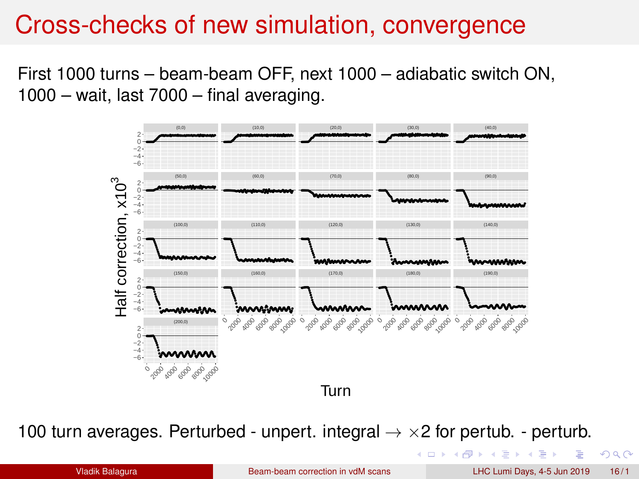### Cross-checks of new simulation, convergence

First 1000 turns – beam-beam OFF, next 1000 – adiabatic switch ON,  $1000 - \text{wait}$ , last  $7000 - \text{final averaging}$ .



100 turn averages. Perturbed - unpert. integral  $\rightarrow \times 2$  for pertub. - perturb.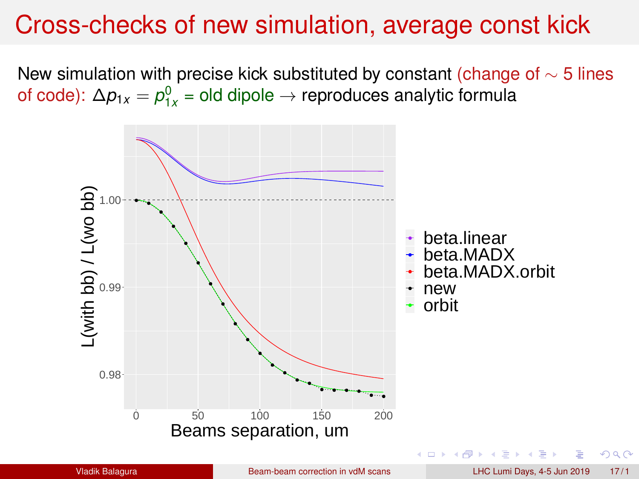## Cross-checks of new simulation, average const kick

New simulation with precise kick substituted by constant (change of  $\sim$  5 lines of code):  $\Delta p_{1x} = p_{1x}^0$  = old dipole → reproduces analytic formula

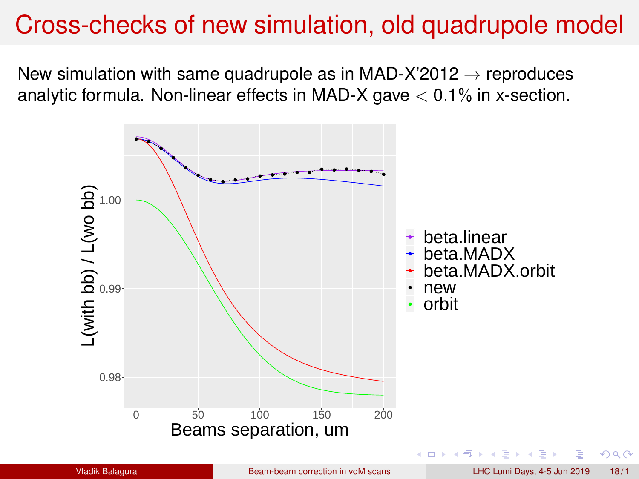## Cross-checks of new simulation, old quadrupole model

New simulation with same quadrupole as in MAD-X'2012  $\rightarrow$  reproduces analytic formula. Non-linear effects in MAD-X gave  $< 0.1\%$  in x-section.

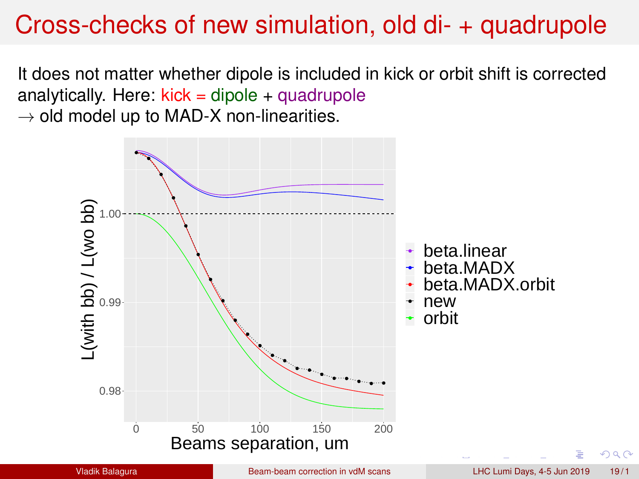# <span id="page-19-0"></span>Cross-checks of new simulation, old di- + quadrupole

It does not matter whether dipole is included in kick or orbit shift is corrected analytically. Here:  $kick = dipole + quadrupole$  $\rightarrow$  old model up to MAD-X non-linearities.

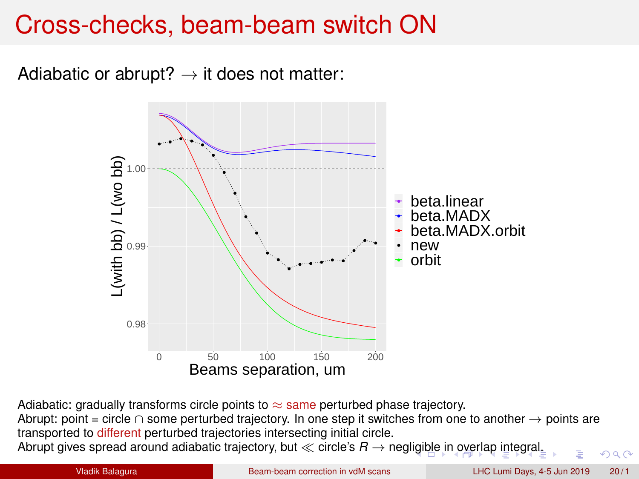# Cross-checks, beam-beam switch ON

Adiabatic or abrupt?  $\rightarrow$  it does not matter:



Adiabatic: gradually transforms circle points to  $\approx$  same perturbed phase trajectory.

Abrupt: point = circle ∩ some perturbed trajectory. In one step it switches from one to another → points are transported to different perturbed trajectories intersecting initial circle.

Abrupt gives spread around adiabatic trajectory, but  $\ll$  circle's  $R \rightarrow$  negl[igib](#page-19-0)l[e in overlap integral.](#page-0-0)

 $290$